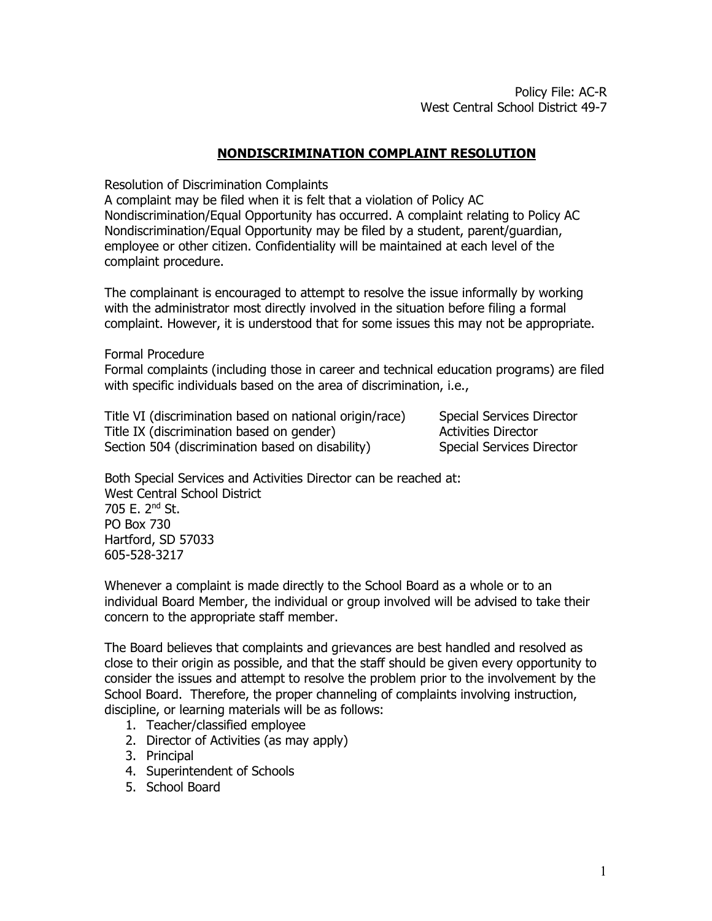## **NONDISCRIMINATION COMPLAINT RESOLUTION**

Resolution of Discrimination Complaints

A complaint may be filed when it is felt that a violation of Policy AC Nondiscrimination/Equal Opportunity has occurred. A complaint relating to Policy AC Nondiscrimination/Equal Opportunity may be filed by a student, parent/guardian, employee or other citizen. Confidentiality will be maintained at each level of the complaint procedure.

The complainant is encouraged to attempt to resolve the issue informally by working with the administrator most directly involved in the situation before filing a formal complaint. However, it is understood that for some issues this may not be appropriate.

Formal Procedure

Formal complaints (including those in career and technical education programs) are filed with specific individuals based on the area of discrimination, i.e.,

Title VI (discrimination based on national origin/race) Special Services Director Title IX (discrimination based on gender) Activities Director Section 504 (discrimination based on disability) Special Services Director

Both Special Services and Activities Director can be reached at: West Central School District 705 E. 2nd St. PO Box 730 Hartford, SD 57033 605-528-3217

Whenever a complaint is made directly to the School Board as a whole or to an individual Board Member, the individual or group involved will be advised to take their concern to the appropriate staff member.

The Board believes that complaints and grievances are best handled and resolved as close to their origin as possible, and that the staff should be given every opportunity to consider the issues and attempt to resolve the problem prior to the involvement by the School Board. Therefore, the proper channeling of complaints involving instruction, discipline, or learning materials will be as follows:

- 1. Teacher/classified employee
- 2. Director of Activities (as may apply)
- 3. Principal
- 4. Superintendent of Schools
- 5. School Board